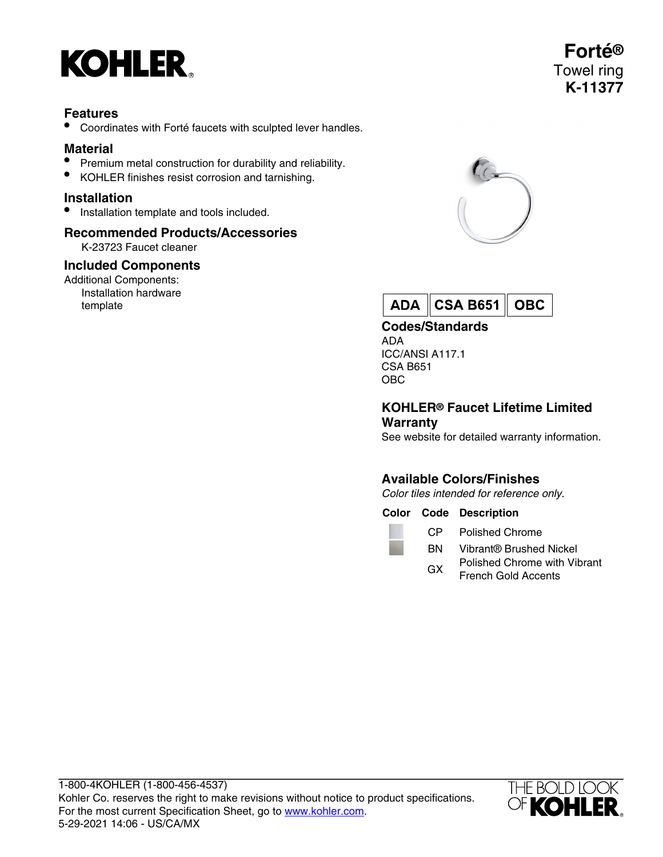

## **Features**

• Coordinates with Forté faucets with sculpted lever handles.

# **Material**

- Premium metal construction for durability and reliability.
- KOHLER finishes resist corrosion and tarnishing.

#### **Installation**

• Installation template and tools included.

# **Recommended Products/Accessories**

K-23723 Faucet cleaner

#### **Included Components**

Additional Components: Installation hardware template





**Codes/Standards**

ADA ICC/ANSI A117.1 CSA B651 OBC

#### **KOHLER® Faucet Lifetime Limited Warranty**

See website for detailed warranty information.

# **Available Colors/Finishes**

Color tiles intended for reference only.

#### **Color Code Description**

CP Polished Chrome

- BN Vibrant® Brushed Nickel
- GX Polished Chrome with Vibrant French Gold Accents